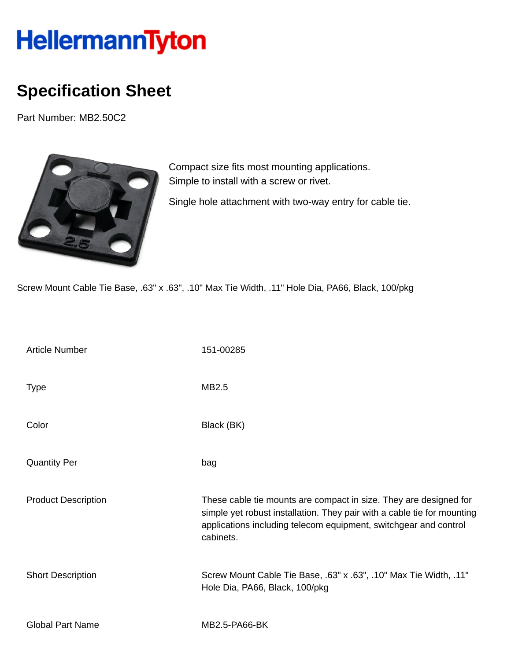## **HellermannTyton**

## **Specification Sheet**

Part Number: MB2.50C2



Compact size fits most mounting applications. Simple to install with a screw or rivet.

Single hole attachment with two-way entry for cable tie.

Screw Mount Cable Tie Base, .63" x .63", .10" Max Tie Width, .11" Hole Dia, PA66, Black, 100/pkg

| <b>Article Number</b>      | 151-00285                                                                                                                                                                                                                     |
|----------------------------|-------------------------------------------------------------------------------------------------------------------------------------------------------------------------------------------------------------------------------|
| <b>Type</b>                | MB2.5                                                                                                                                                                                                                         |
| Color                      | Black (BK)                                                                                                                                                                                                                    |
| <b>Quantity Per</b>        | bag                                                                                                                                                                                                                           |
| <b>Product Description</b> | These cable tie mounts are compact in size. They are designed for<br>simple yet robust installation. They pair with a cable tie for mounting<br>applications including telecom equipment, switchgear and control<br>cabinets. |
| <b>Short Description</b>   | Screw Mount Cable Tie Base, .63" x .63", .10" Max Tie Width, .11"<br>Hole Dia, PA66, Black, 100/pkg                                                                                                                           |
| <b>Global Part Name</b>    | MB2.5-PA66-BK                                                                                                                                                                                                                 |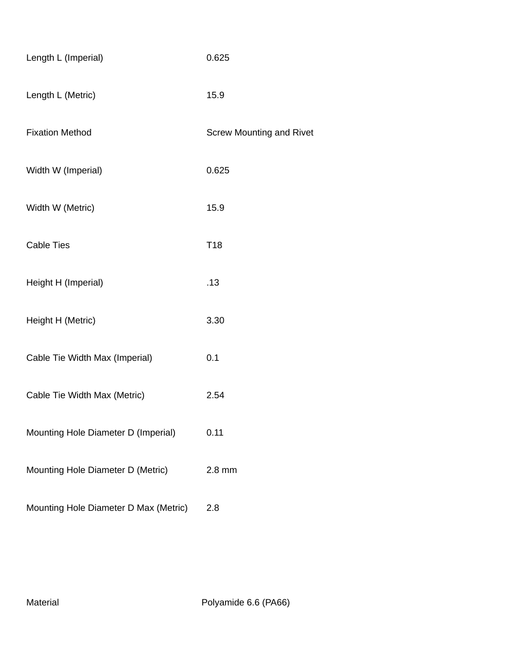| Length L (Imperial)                   | 0.625                           |
|---------------------------------------|---------------------------------|
| Length L (Metric)                     | 15.9                            |
| <b>Fixation Method</b>                | <b>Screw Mounting and Rivet</b> |
| Width W (Imperial)                    | 0.625                           |
| Width W (Metric)                      | 15.9                            |
| <b>Cable Ties</b>                     | T <sub>18</sub>                 |
| Height H (Imperial)                   | .13                             |
| Height H (Metric)                     | 3.30                            |
| Cable Tie Width Max (Imperial)        | 0.1                             |
| Cable Tie Width Max (Metric)          | 2.54                            |
| Mounting Hole Diameter D (Imperial)   | 0.11                            |
| Mounting Hole Diameter D (Metric)     | $2.8$ mm                        |
| Mounting Hole Diameter D Max (Metric) | 2.8                             |